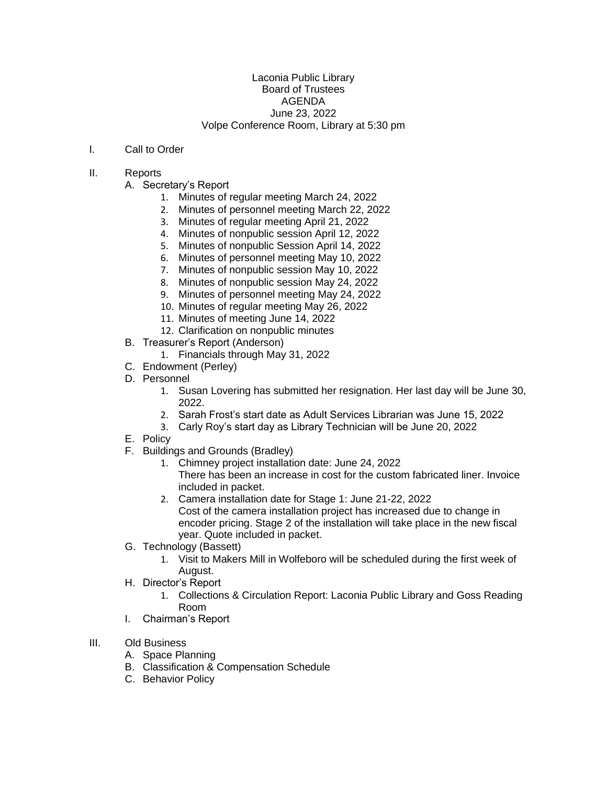## Laconia Public Library Board of Trustees AGENDA June 23, 2022 Volpe Conference Room, Library at 5:30 pm

## I. Call to Order

## II. Reports

- A. Secretary's Report
	- 1. Minutes of regular meeting March 24, 2022
	- 2. Minutes of personnel meeting March 22, 2022
	- 3. Minutes of regular meeting April 21, 2022
	- 4. Minutes of nonpublic session April 12, 2022
	- 5. Minutes of nonpublic Session April 14, 2022
	- 6. Minutes of personnel meeting May 10, 2022
	- 7. Minutes of nonpublic session May 10, 2022
	- 8. Minutes of nonpublic session May 24, 2022
	- 9. Minutes of personnel meeting May 24, 2022
	- 10. Minutes of regular meeting May 26, 2022
	- 11. Minutes of meeting June 14, 2022
	- 12. Clarification on nonpublic minutes
- B. Treasurer's Report (Anderson)
	- 1. Financials through May 31, 2022
- C. Endowment (Perley)
- D. Personnel
	- 1. Susan Lovering has submitted her resignation. Her last day will be June 30, 2022.
	- 2. Sarah Frost's start date as Adult Services Librarian was June 15, 2022
	- 3. Carly Roy's start day as Library Technician will be June 20, 2022
- E. Policy
- F. Buildings and Grounds (Bradley)
	- 1. Chimney project installation date: June 24, 2022 There has been an increase in cost for the custom fabricated liner. Invoice included in packet.
	- 2. Camera installation date for Stage 1: June 21-22, 2022 Cost of the camera installation project has increased due to change in encoder pricing. Stage 2 of the installation will take place in the new fiscal year. Quote included in packet.
- G. Technology (Bassett)
	- 1. Visit to Makers Mill in Wolfeboro will be scheduled during the first week of August.
- H. Director's Report
	- 1. Collections & Circulation Report: Laconia Public Library and Goss Reading Room
- I. Chairman's Report
- III. Old Business
	- A. Space Planning
	- B. Classification & Compensation Schedule
	- C. Behavior Policy